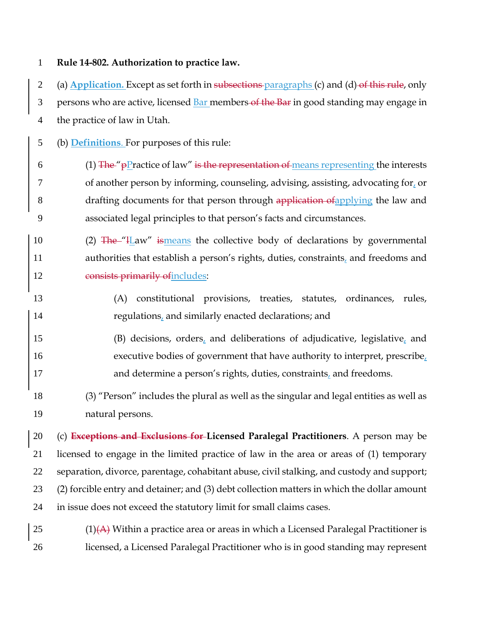**Rule 14-802. Authorization to practice law.**

2 (a) **Application.** Except as set forth in subsections paragraphs (c) and (d) of this rule, only 3 persons who are active, licensed Bar members of the Bar in good standing may engage in the practice of law in Utah.

(b) **Definitions**. For purposes of this rule:

- 6 (1) The " $p$ Practice of law" is the representation of means representing the interests of another person by informing, counseling, advising, assisting, advocating for, or 8 drafting documents for that person through application of applying the law and associated legal principles to that person's facts and circumstances.
- 10 (2) The "H aw" ismeans the collective body of declarations by governmental 11 authorities that establish a person's rights, duties, constraints, and freedoms and 12 consists primarily of includes:
- (A) constitutional provisions, treaties, statutes, ordinances, rules, regulations, and similarly enacted declarations; and
- 15 (B) decisions, orders, and deliberations of adjudicative, legislative, and executive bodies of government that have authority to interpret, prescribe, 17 and determine a person's rights, duties, constraints, and freedoms.
- (3) "Person" includes the plural as well as the singular and legal entities as well as natural persons.

 (c) **Exceptions and Exclusions for Licensed Paralegal Practitioners**. A person may be licensed to engage in the limited practice of law in the area or areas of (1) temporary separation, divorce, parentage, cohabitant abuse, civil stalking, and custody and support; (2) forcible entry and detainer; and (3) debt collection matters in which the dollar amount in issue does not exceed the statutory limit for small claims cases.

25  $(1)(A)$  Within a practice area or areas in which a Licensed Paralegal Practitioner is licensed, a Licensed Paralegal Practitioner who is in good standing may represent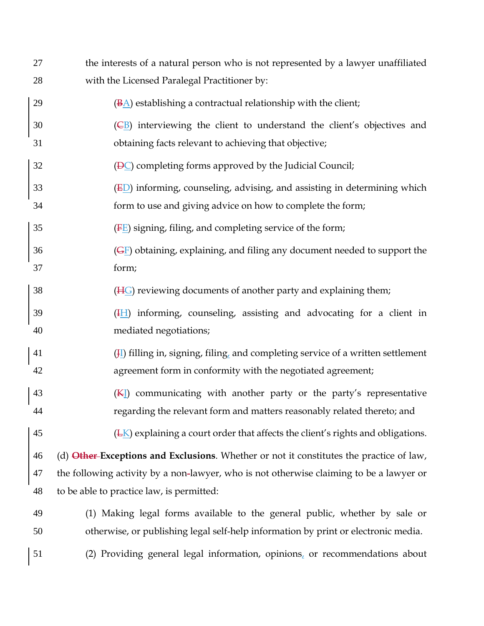| 27       | the interests of a natural person who is not represented by a lawyer unaffiliated                         |
|----------|-----------------------------------------------------------------------------------------------------------|
| 28       | with the Licensed Paralegal Practitioner by:                                                              |
| 29       | $(\underline{BA})$ establishing a contractual relationship with the client;                               |
| 30       | $(EB)$ interviewing the client to understand the client's objectives and                                  |
| 31       | obtaining facts relevant to achieving that objective;                                                     |
| 32       | $(\overline{\mathsf{P}}\mathsf{C})$ completing forms approved by the Judicial Council;                    |
| 33       | (ED) informing, counseling, advising, and assisting in determining which                                  |
| 34       | form to use and giving advice on how to complete the form;                                                |
| 35       | $(E)$ signing, filing, and completing service of the form;                                                |
| 36       | $(\overline{GE})$ obtaining, explaining, and filing any document needed to support the                    |
| 37       | form;                                                                                                     |
| 38       | $(HG)$ reviewing documents of another party and explaining them;                                          |
| 39<br>40 | $(\frac{H}{L})$ informing, counseling, assisting and advocating for a client in<br>mediated negotiations; |
| 41       | $(\frac{1}{2})$ filling in, signing, filing, and completing service of a written settlement               |
| 42       | agreement form in conformity with the negotiated agreement;                                               |
| 43       | (KI) communicating with another party or the party's representative                                       |
| 44       | regarding the relevant form and matters reasonably related thereto; and                                   |
| 45       | $(EK)$ explaining a court order that affects the client's rights and obligations.                         |
| 46       | (d) Other-Exceptions and Exclusions. Whether or not it constitutes the practice of law,                   |
| 47       | the following activity by a non-lawyer, who is not otherwise claiming to be a lawyer or                   |
| 48       | to be able to practice law, is permitted:                                                                 |
| 49       | (1) Making legal forms available to the general public, whether by sale or                                |
| 50       | otherwise, or publishing legal self-help information by print or electronic media.                        |
| 51       | (2) Providing general legal information, opinions, or recommendations about                               |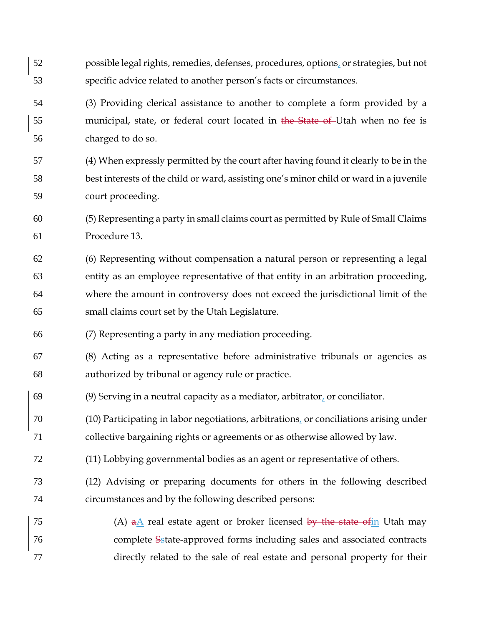| 52 | possible legal rights, remedies, defenses, procedures, options, or strategies, but not                    |
|----|-----------------------------------------------------------------------------------------------------------|
| 53 | specific advice related to another person's facts or circumstances.                                       |
| 54 | (3) Providing clerical assistance to another to complete a form provided by a                             |
| 55 | municipal, state, or federal court located in the State of Utah when no fee is                            |
| 56 | charged to do so.                                                                                         |
| 57 | (4) When expressly permitted by the court after having found it clearly to be in the                      |
| 58 | best interests of the child or ward, assisting one's minor child or ward in a juvenile                    |
| 59 | court proceeding.                                                                                         |
| 60 | (5) Representing a party in small claims court as permitted by Rule of Small Claims                       |
| 61 | Procedure 13.                                                                                             |
| 62 | (6) Representing without compensation a natural person or representing a legal                            |
| 63 | entity as an employee representative of that entity in an arbitration proceeding,                         |
| 64 | where the amount in controversy does not exceed the jurisdictional limit of the                           |
| 65 | small claims court set by the Utah Legislature.                                                           |
|    |                                                                                                           |
| 66 | (7) Representing a party in any mediation proceeding.                                                     |
| 67 | (8) Acting as a representative before administrative tribunals or agencies as                             |
| 68 | authorized by tribunal or agency rule or practice.                                                        |
| 69 | (9) Serving in a neutral capacity as a mediator, arbitrator <sub><math>\iota</math></sub> or conciliator. |
| 70 | (10) Participating in labor negotiations, arbitrations, or conciliations arising under                    |
| 71 | collective bargaining rights or agreements or as otherwise allowed by law.                                |
| 72 | (11) Lobbying governmental bodies as an agent or representative of others.                                |
| 73 | (12) Advising or preparing documents for others in the following described                                |
| 74 | circumstances and by the following described persons:                                                     |
| 75 | (A) $a\underline{A}$ real estate agent or broker licensed by the state of in Utah may                     |
| 76 | complete Sstate-approved forms including sales and associated contracts                                   |
| 77 | directly related to the sale of real estate and personal property for their                               |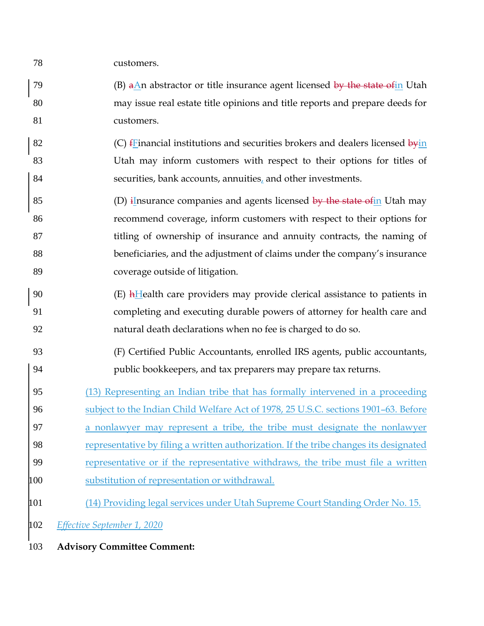customers.

79 (B) aAn abstractor or title insurance agent licensed by the state of in Utah may issue real estate title opinions and title reports and prepare deeds for customers.

82 (C)  $f$ Financial institutions and securities brokers and dealers licensed  $\frac{1}{2}$  Utah may inform customers with respect to their options for titles of securities, bank accounts, annuities, and other investments.

85 (D) insurance companies and agents licensed  $\frac{by}{y}$  the state of in Utah may recommend coverage, inform customers with respect to their options for 87 titling of ownership of insurance and annuity contracts, the naming of beneficiaries, and the adjustment of claims under the company's insurance coverage outside of litigation.

- (E) hHealth care providers may provide clerical assistance to patients in completing and executing durable powers of attorney for health care and natural death declarations when no fee is charged to do so.
- (F) Certified Public Accountants, enrolled IRS agents, public accountants, public bookkeepers, and tax preparers may prepare tax returns.
- (13) Representing an Indian tribe that has formally intervened in a proceeding subject to the Indian Child Welfare Act of 1978, 25 U.S.C. sections 1901–63. Before a nonlawyer may represent a tribe, the tribe must designate the nonlawyer representative by filing a written authorization. If the tribe changes its designated
- representative or if the representative withdraws, the tribe must file a written
- (14) Providing legal services under Utah Supreme Court Standing Order No. 15.

*Effective September 1, 2020*

**Advisory Committee Comment:**

substitution of representation or withdrawal.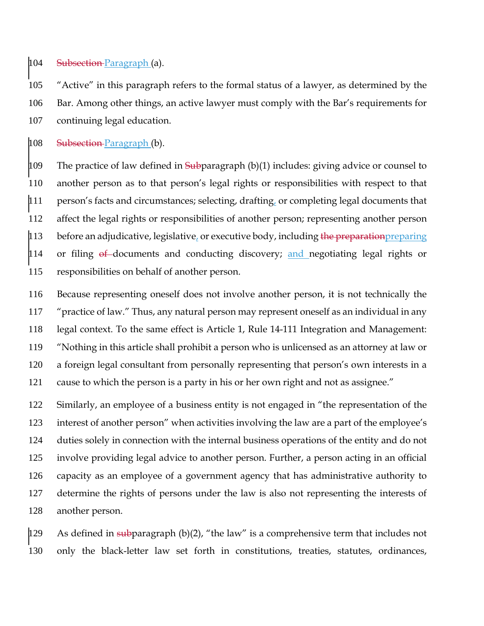104 Subsection-Paragraph (a).

 "Active" in this paragraph refers to the formal status of a lawyer, as determined by the Bar. Among other things, an active lawyer must comply with the Bar's requirements for continuing legal education.

108 Subsection-Paragraph (b).

109 The practice of law defined in  $\frac{1}{9}$  Tuber behavior (b)(1) includes: giving advice or counsel to another person as to that person's legal rights or responsibilities with respect to that person's facts and circumstances; selecting, drafting, or completing legal documents that affect the legal rights or responsibilities of another person; representing another person  $|113$  before an adjudicative, legislative, or executive body, including the preparation preparing or filing  $\theta$  documents and conducting discovery; and negotiating legal rights or responsibilities on behalf of another person.

 Because representing oneself does not involve another person, it is not technically the "practice of law." Thus, any natural person may represent oneself as an individual in any legal context. To the same effect is Article 1, Rule 14-111 Integration and Management: "Nothing in this article shall prohibit a person who is unlicensed as an attorney at law or a foreign legal consultant from personally representing that person's own interests in a cause to which the person is a party in his or her own right and not as assignee."

 Similarly, an employee of a business entity is not engaged in "the representation of the interest of another person" when activities involving the law are a part of the employee's duties solely in connection with the internal business operations of the entity and do not involve providing legal advice to another person. Further, a person acting in an official capacity as an employee of a government agency that has administrative authority to determine the rights of persons under the law is also not representing the interests of another person.

129 As defined in subparagraph  $(b)(2)$ , "the law" is a comprehensive term that includes not only the black-letter law set forth in constitutions, treaties, statutes, ordinances,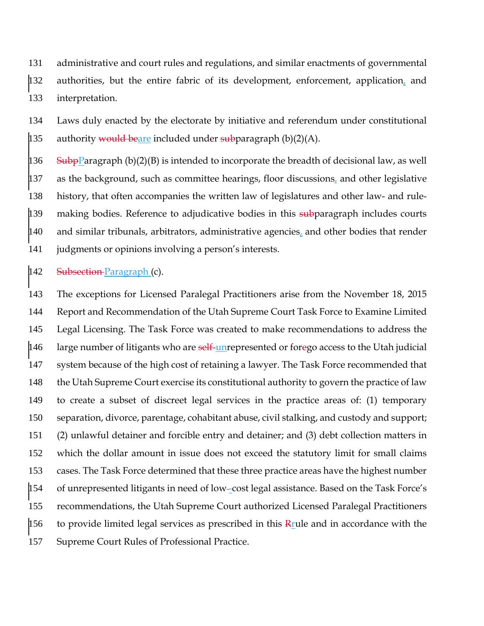administrative and court rules and regulations, and similar enactments of governmental authorities, but the entire fabric of its development, enforcement, application, and interpretation.

 Laws duly enacted by the electorate by initiative and referendum under constitutional 135 authority would beare included under subparagraph  $(b)(2)(A)$ .

136 SubpParagraph (b)(2)(B) is intended to incorporate the breadth of decisional law, as well as the background, such as committee hearings, floor discussions, and other legislative history, that often accompanies the written law of legislatures and other law- and rule- $\mu$ 139 making bodies. Reference to adjudicative bodies in this subparagraph includes courts and similar tribunals, arbitrators, administrative agencies, and other bodies that render judgments or opinions involving a person's interests.

142 Subsection-Paragraph (c).

 The exceptions for Licensed Paralegal Practitioners arise from the November 18, 2015 Report and Recommendation of the Utah Supreme Court Task Force to Examine Limited Legal Licensing. The Task Force was created to make recommendations to address the  $|146$  large number of litigants who are self-unrepresented or forego access to the Utah judicial system because of the high cost of retaining a lawyer. The Task Force recommended that the Utah Supreme Court exercise its constitutional authority to govern the practice of law to create a subset of discreet legal services in the practice areas of: (1) temporary separation, divorce, parentage, cohabitant abuse, civil stalking, and custody and support; (2) unlawful detainer and forcible entry and detainer; and (3) debt collection matters in which the dollar amount in issue does not exceed the statutory limit for small claims cases. The Task Force determined that these three practice areas have the highest number of unrepresented litigants in need of low -cost legal assistance. Based on the Task Force's recommendations, the Utah Supreme Court authorized Licensed Paralegal Practitioners 156 to provide limited legal services as prescribed in this  $R_{\text{rule}}$  and in accordance with the Supreme Court Rules of Professional Practice.